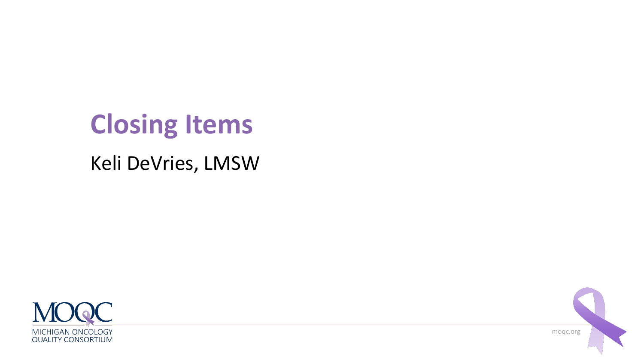# **Closing Items**

#### Keli DeVries, LMSW



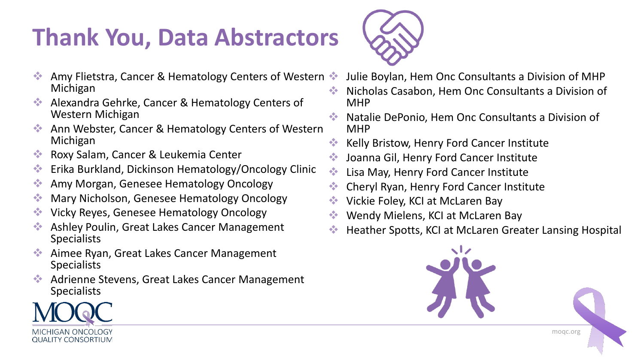# **Thank You, Data Abstractors**



- Amy Flietstra, Cancer & Hematology Centers of Western ❖ Michigan
- ❖ Alexandra Gehrke, Cancer & Hematology Centers of Western Michigan
- Ann Webster, Cancer & Hematology Centers of Western Michigan
- ❖ Roxy Salam, Cancer & Leukemia Center
- ❖ Erika Burkland, Dickinson Hematology/Oncology Clinic
- ❖ Amy Morgan, Genesee Hematology Oncology
- ❖ Mary Nicholson, Genesee Hematology Oncology
- ❖ Vicky Reyes, Genesee Hematology Oncology
- ❖ Ashley Poulin, Great Lakes Cancer Management **Specialists**
- ❖ Aimee Ryan, Great Lakes Cancer Management Specialists
- ❖ Adrienne Stevens, Great Lakes Cancer Management Specialists
- ❖ Julie Boylan, Hem Onc Consultants a Division of MHP
- ❖ Nicholas Casabon, Hem Onc Consultants a Division of MHP
- ❖ Natalie DePonio, Hem Onc Consultants a Division of MHP
- ❖ Kelly Bristow, Henry Ford Cancer Institute
- ❖ Joanna Gil, Henry Ford Cancer Institute
- ❖ Lisa May, Henry Ford Cancer Institute
- ❖ Cheryl Ryan, Henry Ford Cancer Institute
- ❖ Vickie Foley, KCI at McLaren Bay
- Wendy Mielens, KCI at McLaren Bay
- ❖ Heather Spotts, KCI at McLaren Greater Lansing Hospital



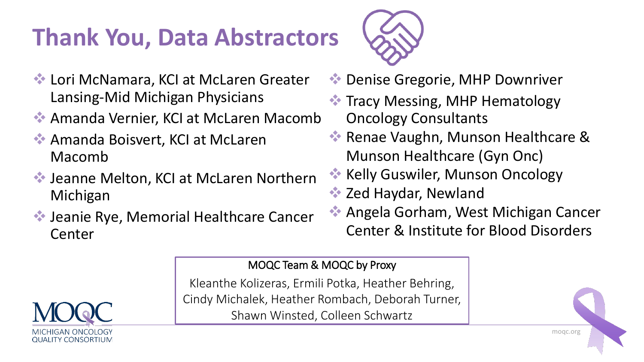# **Thank You, Data Abstractors**



- ❖ Lori McNamara, KCI at McLaren Greater Lansing-Mid Michigan Physicians
- ❖ Amanda Vernier, KCI at McLaren Macomb
- ❖ Amanda Boisvert, KCI at McLaren Macomb
- ❖ Jeanne Melton, KCI at McLaren Northern Michigan
- ❖ Jeanie Rye, Memorial Healthcare Cancer Center
- ❖ Denise Gregorie, MHP Downriver
- ❖ Tracy Messing, MHP Hematology Oncology Consultants
- ❖ Renae Vaughn, Munson Healthcare & Munson Healthcare (Gyn Onc)
- ❖ Kelly Guswiler, Munson Oncology
- ❖ Zed Haydar, Newland
- ❖ Angela Gorham, West Michigan Cancer Center & Institute for Blood Disorders

MOQC Team & MOQC by Proxy

Kleanthe Kolizeras, Ermili Potka, Heather Behring, Cindy Michalek, Heather Rombach, Deborah Turner, Shawn Winsted, Colleen Schwartz



moqc.org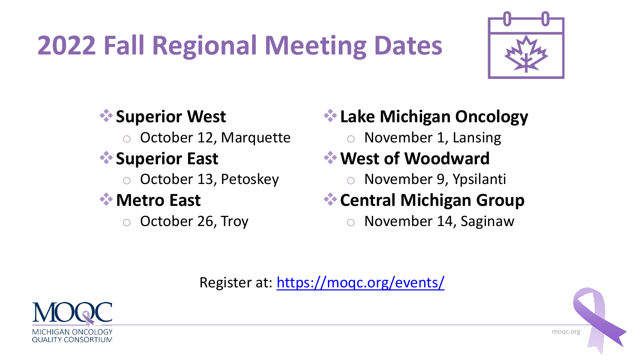# **2022 Fall Regional Meeting Dates**



#### ❖**Superior West**  October 12, Marquette ❖**Superior East**  o October 13, Petoskey ❖**Metro East** o October 26, Troy

#### ❖**Lake Michigan Oncology**

o November 1, Lansing

#### ❖**West of Woodward**

o November 9, Ypsilanti

#### ❖**Central Michigan Group**

o November 14, Saginaw

Register at:<https://moqc.org/events/>



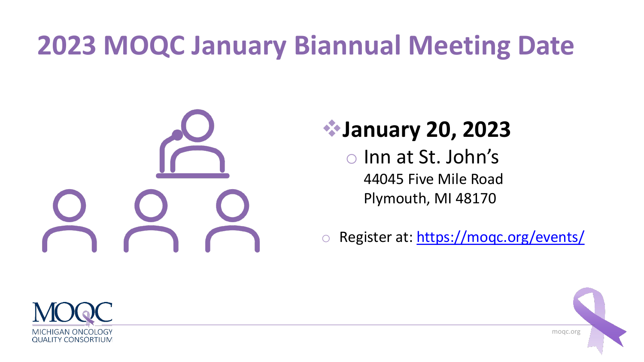# **2023 MOQC January Biannual Meeting Date**



### ❖**January 20, 2023**

o Inn at St. John's 44045 Five Mile Road Plymouth, MI 48170

o Register at:<https://moqc.org/events/>



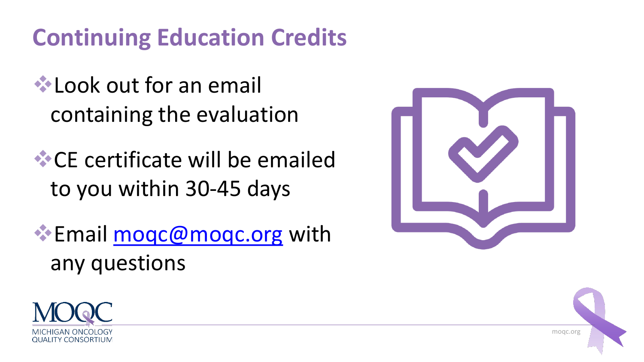## **Continuing Education Credits**

- **<del></del>** Look out for an email containing the evaluation
- ❖CE certificate will be emailed to you within 30-45 days
- ❖Email [moqc@moqc.org](mailto:moqc@moqc.org) with any questions